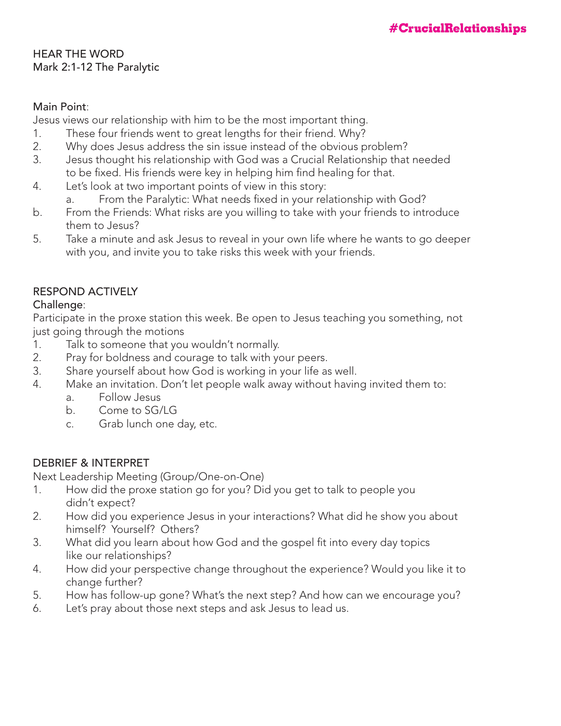#### HEAR THE WORD Mark 2:1-12 The Paralytic

#### Main Point:

Jesus views our relationship with him to be the most important thing.

- 1. These four friends went to great lengths for their friend. Why?
- 2. Why does Jesus address the sin issue instead of the obvious problem?
- 3. Jesus thought his relationship with God was a Crucial Relationship that needed to be fixed. His friends were key in helping him find healing for that.
- 4. Let's look at two important points of view in this story:
	- a. From the Paralytic: What needs fixed in your relationship with God?
- b. From the Friends: What risks are you willing to take with your friends to introduce them to Jesus?
- 5. Take a minute and ask Jesus to reveal in your own life where he wants to go deeper with you, and invite you to take risks this week with your friends.

### RESPOND ACTIVELY

#### Challenge:

Participate in the proxe station this week. Be open to Jesus teaching you something, not just going through the motions

- 1. Talk to someone that you wouldn't normally.
- 2. Pray for boldness and courage to talk with your peers.
- 3. Share yourself about how God is working in your life as well.
- 4. Make an invitation. Don't let people walk away without having invited them to:
	- a. Follow Jesus
	- b. Come to SG/LG
	- c. Grab lunch one day, etc.

# DEBRIEF & INTERPRET

Next Leadership Meeting (Group/One-on-One)

- 1. How did the proxe station go for you? Did you get to talk to people you didn't expect?
- 2. How did you experience Jesus in your interactions? What did he show you about himself? Yourself? Others?
- 3. What did you learn about how God and the gospel fit into every day topics like our relationships?
- 4. How did your perspective change throughout the experience? Would you like it to change further?
- 5. How has follow-up gone? What's the next step? And how can we encourage you?
- 6. Let's pray about those next steps and ask Jesus to lead us.